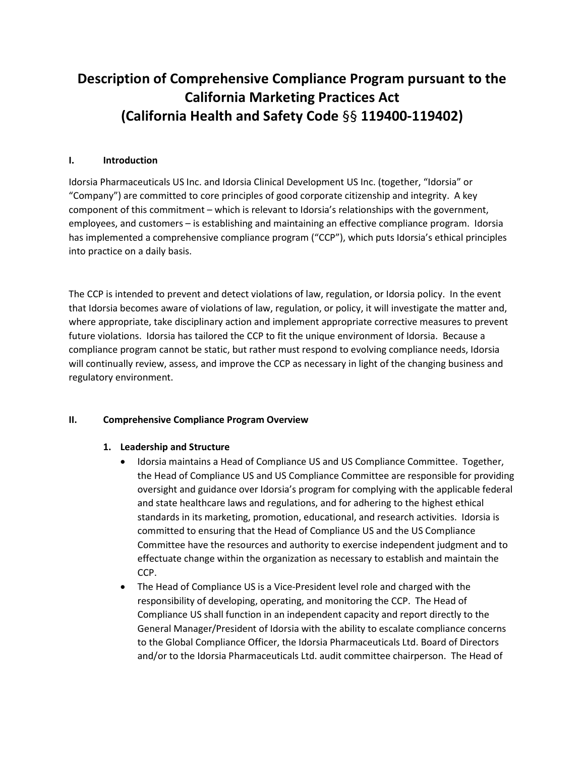# Description of Comprehensive Compliance Program pursuant to the California Marketing Practices Act (California Health and Safety Code §§ 119400-119402)

## I. Introduction

Idorsia Pharmaceuticals US Inc. and Idorsia Clinical Development US Inc. (together, "Idorsia" or "Company") are committed to core principles of good corporate citizenship and integrity. A key component of this commitment – which is relevant to Idorsia's relationships with the government, employees, and customers – is establishing and maintaining an effective compliance program. Idorsia has implemented a comprehensive compliance program ("CCP"), which puts Idorsia's ethical principles into practice on a daily basis.

The CCP is intended to prevent and detect violations of law, regulation, or Idorsia policy. In the event that Idorsia becomes aware of violations of law, regulation, or policy, it will investigate the matter and, where appropriate, take disciplinary action and implement appropriate corrective measures to prevent future violations. Idorsia has tailored the CCP to fit the unique environment of Idorsia. Because a compliance program cannot be static, but rather must respond to evolving compliance needs, Idorsia will continually review, assess, and improve the CCP as necessary in light of the changing business and regulatory environment.

## II. Comprehensive Compliance Program Overview

## 1. Leadership and Structure

- Idorsia maintains a Head of Compliance US and US Compliance Committee. Together, the Head of Compliance US and US Compliance Committee are responsible for providing oversight and guidance over Idorsia's program for complying with the applicable federal and state healthcare laws and regulations, and for adhering to the highest ethical standards in its marketing, promotion, educational, and research activities. Idorsia is committed to ensuring that the Head of Compliance US and the US Compliance Committee have the resources and authority to exercise independent judgment and to effectuate change within the organization as necessary to establish and maintain the CCP.
- The Head of Compliance US is a Vice-President level role and charged with the responsibility of developing, operating, and monitoring the CCP. The Head of Compliance US shall function in an independent capacity and report directly to the General Manager/President of Idorsia with the ability to escalate compliance concerns to the Global Compliance Officer, the Idorsia Pharmaceuticals Ltd. Board of Directors and/or to the Idorsia Pharmaceuticals Ltd. audit committee chairperson. The Head of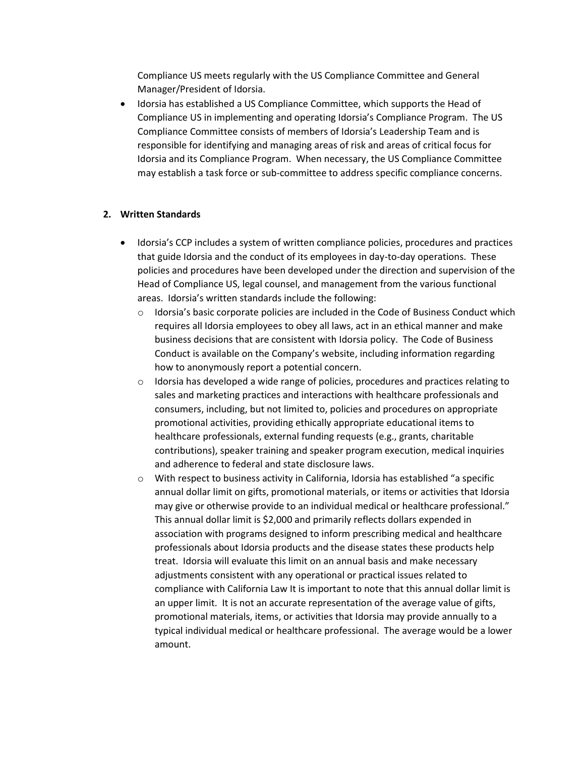Compliance US meets regularly with the US Compliance Committee and General Manager/President of Idorsia.

 Idorsia has established a US Compliance Committee, which supports the Head of Compliance US in implementing and operating Idorsia's Compliance Program. The US Compliance Committee consists of members of Idorsia's Leadership Team and is responsible for identifying and managing areas of risk and areas of critical focus for Idorsia and its Compliance Program. When necessary, the US Compliance Committee may establish a task force or sub-committee to address specific compliance concerns.

## 2. Written Standards

- Idorsia's CCP includes a system of written compliance policies, procedures and practices that guide Idorsia and the conduct of its employees in day-to-day operations. These policies and procedures have been developed under the direction and supervision of the Head of Compliance US, legal counsel, and management from the various functional areas. Idorsia's written standards include the following:
	- $\circ$  Idorsia's basic corporate policies are included in the Code of Business Conduct which requires all Idorsia employees to obey all laws, act in an ethical manner and make business decisions that are consistent with Idorsia policy. The Code of Business Conduct is available on the Company's website, including information regarding how to anonymously report a potential concern.
	- $\circ$  Idorsia has developed a wide range of policies, procedures and practices relating to sales and marketing practices and interactions with healthcare professionals and consumers, including, but not limited to, policies and procedures on appropriate promotional activities, providing ethically appropriate educational items to healthcare professionals, external funding requests (e.g., grants, charitable contributions), speaker training and speaker program execution, medical inquiries and adherence to federal and state disclosure laws.
	- o With respect to business activity in California, Idorsia has established "a specific annual dollar limit on gifts, promotional materials, or items or activities that Idorsia may give or otherwise provide to an individual medical or healthcare professional." This annual dollar limit is \$2,000 and primarily reflects dollars expended in association with programs designed to inform prescribing medical and healthcare professionals about Idorsia products and the disease states these products help treat. Idorsia will evaluate this limit on an annual basis and make necessary adjustments consistent with any operational or practical issues related to compliance with California Law It is important to note that this annual dollar limit is an upper limit. It is not an accurate representation of the average value of gifts, promotional materials, items, or activities that Idorsia may provide annually to a typical individual medical or healthcare professional. The average would be a lower amount.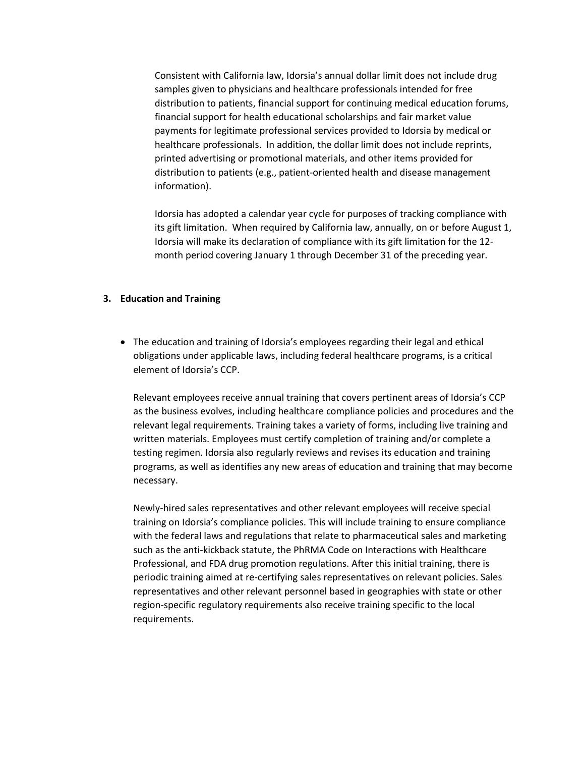Consistent with California law, Idorsia's annual dollar limit does not include drug samples given to physicians and healthcare professionals intended for free distribution to patients, financial support for continuing medical education forums, financial support for health educational scholarships and fair market value payments for legitimate professional services provided to Idorsia by medical or healthcare professionals. In addition, the dollar limit does not include reprints, printed advertising or promotional materials, and other items provided for distribution to patients (e.g., patient-oriented health and disease management information).

Idorsia has adopted a calendar year cycle for purposes of tracking compliance with its gift limitation. When required by California law, annually, on or before August 1, Idorsia will make its declaration of compliance with its gift limitation for the 12 month period covering January 1 through December 31 of the preceding year.

#### 3. Education and Training

 The education and training of Idorsia's employees regarding their legal and ethical obligations under applicable laws, including federal healthcare programs, is a critical element of Idorsia's CCP.

Relevant employees receive annual training that covers pertinent areas of Idorsia's CCP as the business evolves, including healthcare compliance policies and procedures and the relevant legal requirements. Training takes a variety of forms, including live training and written materials. Employees must certify completion of training and/or complete a testing regimen. Idorsia also regularly reviews and revises its education and training programs, as well as identifies any new areas of education and training that may become necessary.

Newly-hired sales representatives and other relevant employees will receive special training on Idorsia's compliance policies. This will include training to ensure compliance with the federal laws and regulations that relate to pharmaceutical sales and marketing such as the anti-kickback statute, the PhRMA Code on Interactions with Healthcare Professional, and FDA drug promotion regulations. After this initial training, there is periodic training aimed at re-certifying sales representatives on relevant policies. Sales representatives and other relevant personnel based in geographies with state or other region-specific regulatory requirements also receive training specific to the local requirements.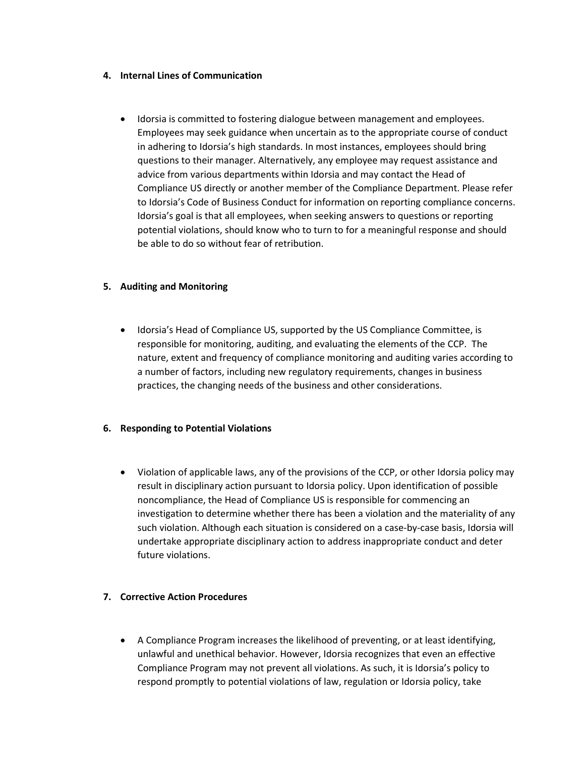#### 4. Internal Lines of Communication

 Idorsia is committed to fostering dialogue between management and employees. Employees may seek guidance when uncertain as to the appropriate course of conduct in adhering to Idorsia's high standards. In most instances, employees should bring questions to their manager. Alternatively, any employee may request assistance and advice from various departments within Idorsia and may contact the Head of Compliance US directly or another member of the Compliance Department. Please refer to Idorsia's Code of Business Conduct for information on reporting compliance concerns. Idorsia's goal is that all employees, when seeking answers to questions or reporting potential violations, should know who to turn to for a meaningful response and should be able to do so without fear of retribution.

## 5. Auditing and Monitoring

 Idorsia's Head of Compliance US, supported by the US Compliance Committee, is responsible for monitoring, auditing, and evaluating the elements of the CCP. The nature, extent and frequency of compliance monitoring and auditing varies according to a number of factors, including new regulatory requirements, changes in business practices, the changing needs of the business and other considerations.

# 6. Responding to Potential Violations

 Violation of applicable laws, any of the provisions of the CCP, or other Idorsia policy may result in disciplinary action pursuant to Idorsia policy. Upon identification of possible noncompliance, the Head of Compliance US is responsible for commencing an investigation to determine whether there has been a violation and the materiality of any such violation. Although each situation is considered on a case-by-case basis, Idorsia will undertake appropriate disciplinary action to address inappropriate conduct and deter future violations.

# 7. Corrective Action Procedures

 A Compliance Program increases the likelihood of preventing, or at least identifying, unlawful and unethical behavior. However, Idorsia recognizes that even an effective Compliance Program may not prevent all violations. As such, it is Idorsia's policy to respond promptly to potential violations of law, regulation or Idorsia policy, take